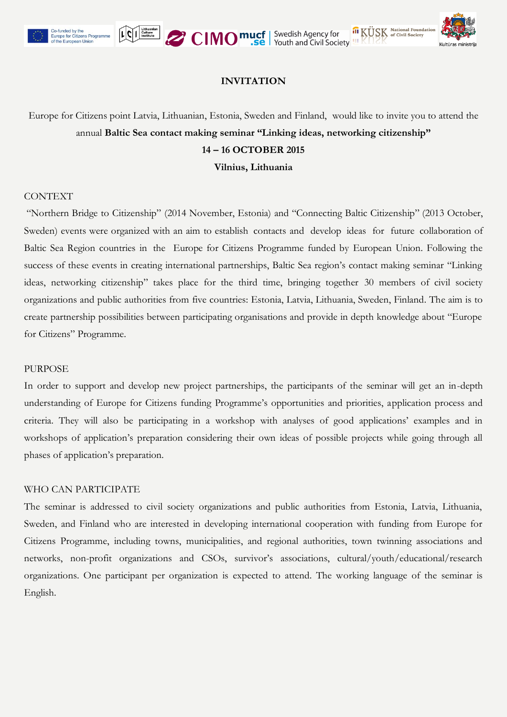



## **INVITATION**

# Europe for Citizens point Latvia, Lithuanian, Estonia, Sweden and Finland, would like to invite you to attend the annual **Baltic Sea contact making seminar "Linking ideas, networking citizenship" 14 – 16 OCTOBER 2015**

**Vilnius, Lithuania**

#### CONTEXT

"Northern Bridge to Citizenship" (2014 November, Estonia) and "Connecting Baltic Citizenship" (2013 October, Sweden) events were organized with an aim to establish contacts and develop ideas for future collaboration of Baltic Sea Region countries in the Europe for Citizens Programme funded by European Union. Following the success of these events in creating international partnerships, Baltic Sea region's contact making seminar "Linking ideas, networking citizenship" takes place for the third time, bringing together 30 members of civil society organizations and public authorities from five countries: Estonia, Latvia, Lithuania, Sweden, Finland. The aim is to create partnership possibilities between participating organisations and provide in depth knowledge about "Europe for Citizens" Programme.

#### **PURPOSE**

In order to support and develop new project partnerships, the participants of the seminar will get an in-depth understanding of Europe for Citizens funding Programme's opportunities and priorities, application process and criteria. They will also be participating in a workshop with analyses of good applications' examples and in workshops of application's preparation considering their own ideas of possible projects while going through all phases of application's preparation.

#### WHO CAN PARTICIPATE

The seminar is addressed to civil society organizations and public authorities from Estonia, Latvia, Lithuania, Sweden, and Finland who are interested in developing international cooperation with funding from Europe for Citizens Programme, including towns, municipalities, and regional authorities, town twinning associations and networks, non-profit organizations and CSOs, survivor's associations, cultural/youth/educational/research organizations. One participant per organization is expected to attend. The working language of the seminar is English.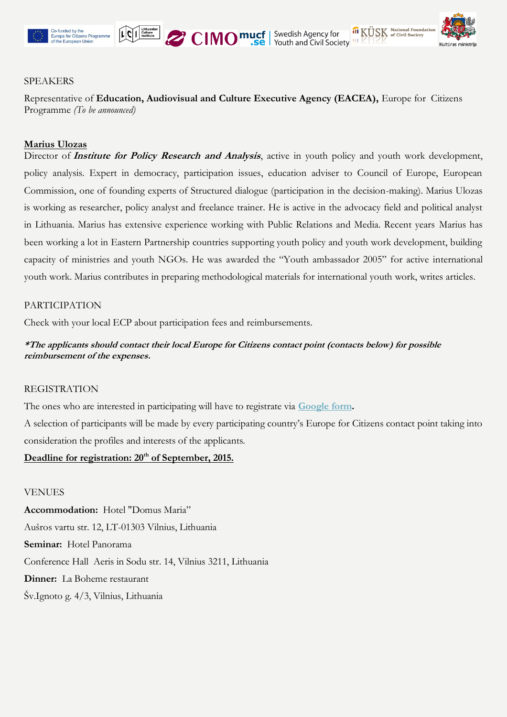



#### SPEAKERS

Representative of **Education, Audiovisual and Culture Executive Agency (EACEA),** Europe for Citizens Programme *(To be announced)*

#### **Marius Ulozas**

Director of *Institute for Policy Research and Analysis*, active in youth policy and youth work development, policy analysis. Expert in democracy, participation issues, education adviser to Council of Europe, European Commission, one of founding experts of Structured dialogue (participation in the decision-making). Marius Ulozas is working as researcher, policy analyst and freelance trainer. He is active in the advocacy field and political analyst in Lithuania. Marius has extensive experience working with Public Relations and Media. Recent years Marius has been working a lot in Eastern Partnership countries supporting youth policy and youth work development, building capacity of ministries and youth NGOs. He was awarded the "Youth ambassador 2005" for active international youth work. Marius contributes in preparing methodological materials for international youth work, writes articles.

#### PARTICIPATION

Check with your local ECP about participation fees and reimbursements.

### **\*The applicants should contact their local Europe for Citizens contact point (contacts below) for possible reimbursement of the expenses.**

#### REGISTRATION

The ones who are interested in participating will have to registrate via **[Google form.](https://docs.google.com/forms/d/1byRjnqHCQBBAOjsQfv66mwTFBdVReLnYpcATyw6hNh8/viewform)**

A selection of participants will be made by every participating country's Europe for Citizens contact point taking into consideration the profiles and interests of the applicants.

#### **Deadline for registration: 20th of September, 2015.**

#### VENUES

**Accommodation:** Hotel "Domus Maria" Aušros vartu str. 12, LT-01303 Vilnius, Lithuania **Seminar:** Hotel Panorama Conference Hall Aeris in Sodu str. 14, Vilnius 3211, Lithuania **Dinner:** La Boheme restaurant Šv.Ignoto g. 4/3, Vilnius, Lithuania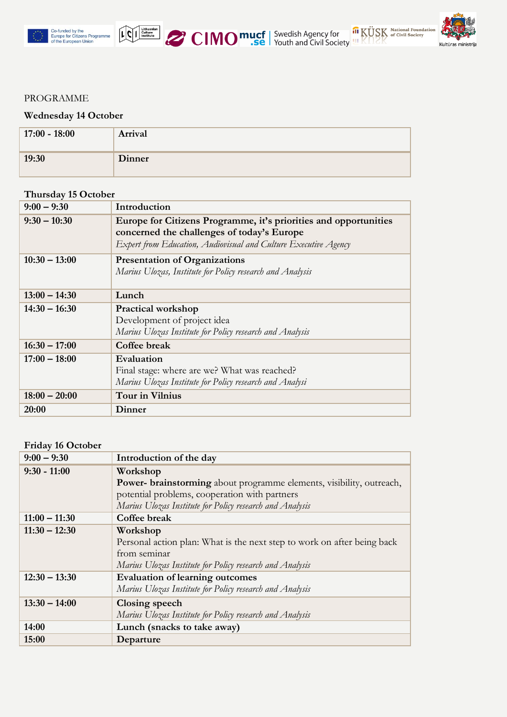



#### PROGRAMME

#### **Wednesday 14 October**

| $17:00 - 18:00$ | Arrival |
|-----------------|---------|
| 19:30           | Dinner  |

#### **Thursday 15 October**

| $9:00 - 9:30$   | Introduction                                                                                                                                                                      |
|-----------------|-----------------------------------------------------------------------------------------------------------------------------------------------------------------------------------|
| $9:30 - 10:30$  | Europe for Citizens Programme, it's priorities and opportunities<br>concerned the challenges of today's Europe<br>Expert from Education, Audiovisual and Culture Executive Agency |
| $10:30 - 13:00$ | <b>Presentation of Organizations</b><br>Marius Ulozas, Institute for Policy research and Analysis                                                                                 |
| $13:00 - 14:30$ | Lunch                                                                                                                                                                             |
| $14:30 - 16:30$ | <b>Practical workshop</b><br>Development of project idea<br>Marius Ulozas Institute for Policy research and Analysis                                                              |
| $16:30 - 17:00$ | Coffee break                                                                                                                                                                      |
| $17:00 - 18:00$ | Evaluation<br>Final stage: where are we? What was reached?<br>Marius Ulozas Institute for Policy research and Analysi                                                             |
| $18:00 - 20:00$ | <b>Tour in Vilnius</b>                                                                                                                                                            |
| 20:00           | Dinner                                                                                                                                                                            |

## **Friday 16 October**

| $9:00 - 9:30$   | Introduction of the day                                                     |
|-----------------|-----------------------------------------------------------------------------|
| $9:30 - 11:00$  | Workshop                                                                    |
|                 | <b>Power-</b> brainstorming about programme elements, visibility, outreach, |
|                 | potential problems, cooperation with partners                               |
|                 | Marius Ulozas Institute for Policy research and Analysis                    |
| $11:00 - 11:30$ | Coffee break                                                                |
| $11:30 - 12:30$ | Workshop                                                                    |
|                 | Personal action plan: What is the next step to work on after being back     |
|                 | from seminar                                                                |
|                 | Marius Ulozas Institute for Policy research and Analysis                    |
| $12:30 - 13:30$ | <b>Evaluation of learning outcomes</b>                                      |
|                 | Marius Ulozas Institute for Policy research and Analysis                    |
| $13:30 - 14:00$ | <b>Closing speech</b>                                                       |
|                 | Marius Ulozas Institute for Policy research and Analysis                    |
| 14:00           | Lunch (snacks to take away)                                                 |
| 15:00           | Departure                                                                   |